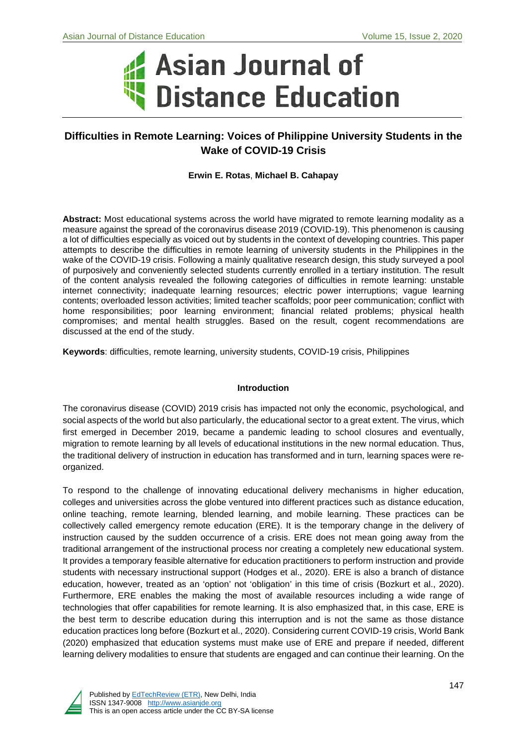

# **Difficulties in Remote Learning: Voices of Philippine University Students in the Wake of COVID-19 Crisis**

## **Erwin E. Rotas**, **Michael B. Cahapay**

**Abstract:** Most educational systems across the world have migrated to remote learning modality as a measure against the spread of the coronavirus disease 2019 (COVID-19). This phenomenon is causing a lot of difficulties especially as voiced out by students in the context of developing countries. This paper attempts to describe the difficulties in remote learning of university students in the Philippines in the wake of the COVID-19 crisis. Following a mainly qualitative research design, this study surveyed a pool of purposively and conveniently selected students currently enrolled in a tertiary institution. The result of the content analysis revealed the following categories of difficulties in remote learning: unstable internet connectivity; inadequate learning resources; electric power interruptions; vague learning contents; overloaded lesson activities; limited teacher scaffolds; poor peer communication; conflict with home responsibilities; poor learning environment; financial related problems; physical health compromises; and mental health struggles. Based on the result, cogent recommendations are discussed at the end of the study.

**Keywords**: difficulties, remote learning, university students, COVID-19 crisis, Philippines

## **Introduction**

The coronavirus disease (COVID) 2019 crisis has impacted not only the economic, psychological, and social aspects of the world but also particularly, the educational sector to a great extent. The virus, which first emerged in December 2019, became a pandemic leading to school closures and eventually, migration to remote learning by all levels of educational institutions in the new normal education. Thus, the traditional delivery of instruction in education has transformed and in turn, learning spaces were reorganized.

To respond to the challenge of innovating educational delivery mechanisms in higher education, colleges and universities across the globe ventured into different practices such as distance education, online teaching, remote learning, blended learning, and mobile learning. These practices can be collectively called emergency remote education (ERE). It is the temporary change in the delivery of instruction caused by the sudden occurrence of a crisis. ERE does not mean going away from the traditional arrangement of the instructional process nor creating a completely new educational system. It provides a temporary feasible alternative for education practitioners to perform instruction and provide students with necessary instructional support (Hodges et al., 2020). ERE is also a branch of distance education, however, treated as an 'option' not 'obligation' in this time of crisis (Bozkurt et al., 2020). Furthermore, ERE enables the making the most of available resources including a wide range of technologies that offer capabilities for remote learning. It is also emphasized that, in this case, ERE is the best term to describe education during this interruption and is not the same as those distance education practices long before (Bozkurt et al., 2020). Considering current COVID-19 crisis, World Bank (2020) emphasized that education systems must make use of ERE and prepare if needed, different learning delivery modalities to ensure that students are engaged and can continue their learning. On the

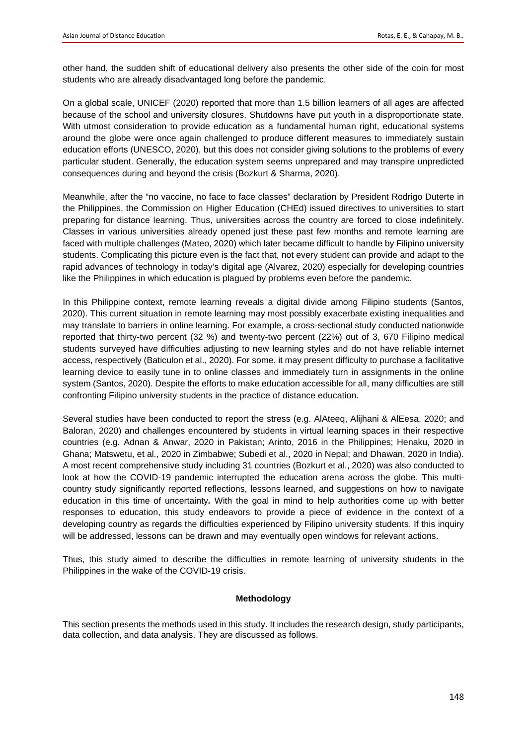other hand, the sudden shift of educational delivery also presents the other side of the coin for most students who are already disadvantaged long before the pandemic.

On a global scale, UNICEF (2020) reported that more than 1.5 billion learners of all ages are affected because of the school and university closures. Shutdowns have put youth in a disproportionate state. With utmost consideration to provide education as a fundamental human right, educational systems around the globe were once again challenged to produce different measures to immediately sustain education efforts (UNESCO, 2020), but this does not consider giving solutions to the problems of every particular student. Generally, the education system seems unprepared and may transpire unpredicted consequences during and beyond the crisis (Bozkurt & Sharma, 2020).

Meanwhile, after the "no vaccine, no face to face classes" declaration by President Rodrigo Duterte in the Philippines, the Commission on Higher Education (CHEd) issued directives to universities to start preparing for distance learning. Thus, universities across the country are forced to close indefinitely. Classes in various universities already opened just these past few months and remote learning are faced with multiple challenges (Mateo, 2020) which later became difficult to handle by Filipino university students. Complicating this picture even is the fact that, not every student can provide and adapt to the rapid advances of technology in today's digital age (Alvarez, 2020) especially for developing countries like the Philippines in which education is plagued by problems even before the pandemic.

In this Philippine context, remote learning reveals a digital divide among Filipino students (Santos, 2020). This current situation in remote learning may most possibly exacerbate existing inequalities and may translate to barriers in online learning. For example, a cross-sectional study conducted nationwide reported that thirty-two percent (32 %) and twenty-two percent (22%) out of 3, 670 Filipino medical students surveyed have difficulties adjusting to new learning styles and do not have reliable internet access, respectively (Baticulon et al., 2020). For some, it may present difficulty to purchase a facilitative learning device to easily tune in to online classes and immediately turn in assignments in the online system (Santos, 2020). Despite the efforts to make education accessible for all, many difficulties are still confronting Filipino university students in the practice of distance education.

Several studies have been conducted to report the stress (e.g. AlAteeq, Alijhani & AlEesa, 2020; and Baloran, 2020) and challenges encountered by students in virtual learning spaces in their respective countries (e.g. Adnan & Anwar, 2020 in Pakistan; Arinto, 2016 in the Philippines; Henaku, 2020 in Ghana; Matswetu, et al., 2020 in Zimbabwe; Subedi et al., 2020 in Nepal; and Dhawan, 2020 in India). A most recent comprehensive study including 31 countries (Bozkurt et al., 2020) was also conducted to look at how the COVID-19 pandemic interrupted the education arena across the globe. This multicountry study significantly reported reflections, lessons learned, and suggestions on how to navigate education in this time of uncertainty*.* With the goal in mind to help authorities come up with better responses to education, this study endeavors to provide a piece of evidence in the context of a developing country as regards the difficulties experienced by Filipino university students. If this inquiry will be addressed, lessons can be drawn and may eventually open windows for relevant actions.

Thus, this study aimed to describe the difficulties in remote learning of university students in the Philippines in the wake of the COVID-19 crisis.

## **Methodology**

This section presents the methods used in this study. It includes the research design, study participants, data collection, and data analysis. They are discussed as follows.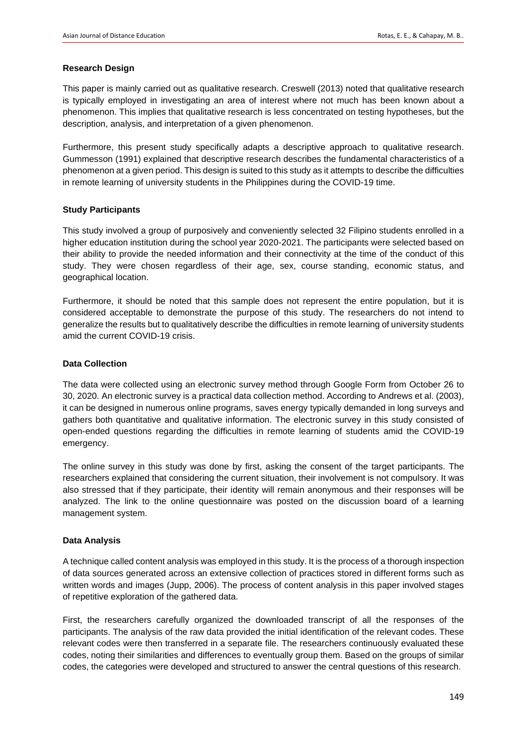## **Research Design**

This paper is mainly carried out as qualitative research. Creswell (2013) noted that qualitative research is typically employed in investigating an area of interest where not much has been known about a phenomenon. This implies that qualitative research is less concentrated on testing hypotheses, but the description, analysis, and interpretation of a given phenomenon.

Furthermore, this present study specifically adapts a descriptive approach to qualitative research. Gummesson (1991) explained that descriptive research describes the fundamental characteristics of a phenomenon at a given period. This design is suited to this study as it attempts to describe the difficulties in remote learning of university students in the Philippines during the COVID-19 time.

## **Study Participants**

This study involved a group of purposively and conveniently selected 32 Filipino students enrolled in a higher education institution during the school year 2020-2021. The participants were selected based on their ability to provide the needed information and their connectivity at the time of the conduct of this study. They were chosen regardless of their age, sex, course standing, economic status, and geographical location.

Furthermore, it should be noted that this sample does not represent the entire population, but it is considered acceptable to demonstrate the purpose of this study. The researchers do not intend to generalize the results but to qualitatively describe the difficulties in remote learning of university students amid the current COVID-19 crisis.

## **Data Collection**

The data were collected using an electronic survey method through Google Form from October 26 to 30, 2020. An electronic survey is a practical data collection method. According to Andrews et al. (2003), it can be designed in numerous online programs, saves energy typically demanded in long surveys and gathers both quantitative and qualitative information. The electronic survey in this study consisted of open-ended questions regarding the difficulties in remote learning of students amid the COVID-19 emergency.

The online survey in this study was done by first, asking the consent of the target participants. The researchers explained that considering the current situation, their involvement is not compulsory. It was also stressed that if they participate, their identity will remain anonymous and their responses will be analyzed. The link to the online questionnaire was posted on the discussion board of a learning management system.

## **Data Analysis**

A technique called content analysis was employed in this study. It is the process of a thorough inspection of data sources generated across an extensive collection of practices stored in different forms such as written words and images (Jupp, 2006). The process of content analysis in this paper involved stages of repetitive exploration of the gathered data.

First, the researchers carefully organized the downloaded transcript of all the responses of the participants. The analysis of the raw data provided the initial identification of the relevant codes. These relevant codes were then transferred in a separate file. The researchers continuously evaluated these codes, noting their similarities and differences to eventually group them. Based on the groups of similar codes, the categories were developed and structured to answer the central questions of this research.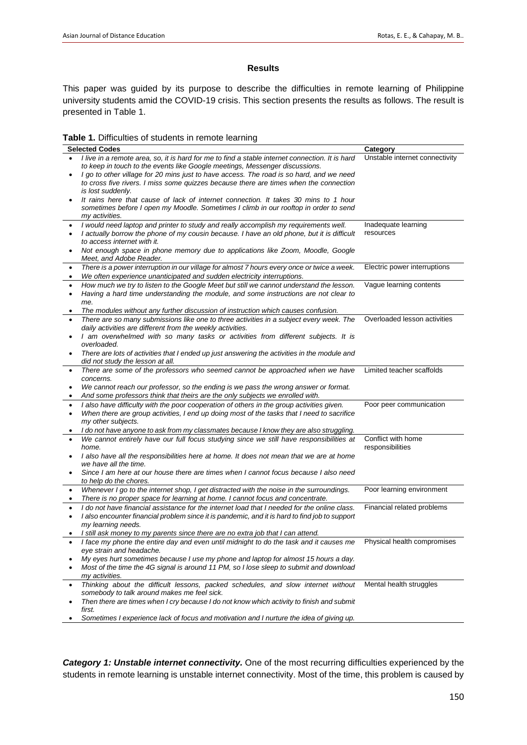#### **Results**

This paper was guided by its purpose to describe the difficulties in remote learning of Philippine university students amid the COVID-19 crisis. This section presents the results as follows. The result is presented in Table 1.

| Table 1. Difficulties of students in remote learning |  |  |
|------------------------------------------------------|--|--|
|------------------------------------------------------|--|--|

|           | <b>Selected Codes</b>                                                                                                                                                              | Category                       |
|-----------|------------------------------------------------------------------------------------------------------------------------------------------------------------------------------------|--------------------------------|
|           | I live in a remote area, so, it is hard for me to find a stable internet connection. It is hard                                                                                    | Unstable internet connectivity |
|           | to keep in touch to the events like Google meetings, Messenger discussions.                                                                                                        |                                |
|           | I go to other village for 20 mins just to have access. The road is so hard, and we need                                                                                            |                                |
|           | to cross five rivers. I miss some quizzes because there are times when the connection                                                                                              |                                |
|           | is lost suddenly.                                                                                                                                                                  |                                |
| $\bullet$ | It rains here that cause of lack of internet connection. It takes 30 mins to 1 hour                                                                                                |                                |
|           | sometimes before I open my Moodle. Sometimes I climb in our rooftop in order to send<br>my activities.                                                                             |                                |
|           | I would need laptop and printer to study and really accomplish my requirements well.                                                                                               | Inadequate learning            |
|           | I actually borrow the phone of my cousin because. I have an old phone, but it is difficult                                                                                         | resources                      |
|           | to access internet with it.                                                                                                                                                        |                                |
| $\bullet$ | Not enough space in phone memory due to applications like Zoom, Moodle, Google                                                                                                     |                                |
|           | Meet, and Adobe Reader.                                                                                                                                                            |                                |
| ٠         | There is a power interruption in our village for almost 7 hours every once or twice a week.                                                                                        | Electric power interruptions   |
|           | We often experience unanticipated and sudden electricity interruptions.                                                                                                            |                                |
|           | How much we try to listen to the Google Meet but still we cannot understand the lesson.                                                                                            | Vague learning contents        |
|           | Having a hard time understanding the module, and some instructions are not clear to                                                                                                |                                |
|           | me.                                                                                                                                                                                |                                |
|           | The modules without any further discussion of instruction which causes confusion.                                                                                                  |                                |
| $\bullet$ | There are so many submissions like one to three activities in a subject every week. The<br>daily activities are different from the weekly activities.                              | Overloaded lesson activities   |
|           | I am overwhelmed with so many tasks or activities from different subjects. It is                                                                                                   |                                |
|           | overloaded.                                                                                                                                                                        |                                |
|           | There are lots of activities that I ended up just answering the activities in the module and                                                                                       |                                |
|           | did not study the lesson at all.                                                                                                                                                   |                                |
|           | There are some of the professors who seemed cannot be approached when we have                                                                                                      | Limited teacher scaffolds      |
|           | concerns.                                                                                                                                                                          |                                |
|           | We cannot reach our professor, so the ending is we pass the wrong answer or format.                                                                                                |                                |
|           | And some professors think that theirs are the only subjects we enrolled with.                                                                                                      |                                |
| $\bullet$ | I also have difficulty with the poor cooperation of others in the group activities given.                                                                                          | Poor peer communication        |
| ٠         | When there are group activities, I end up doing most of the tasks that I need to sacrifice                                                                                         |                                |
|           | my other subjects.                                                                                                                                                                 |                                |
|           | I do not have anyone to ask from my classmates because I know they are also struggling.<br>We cannot entirely have our full focus studying since we still have responsibilities at | Conflict with home             |
|           | home.                                                                                                                                                                              | responsibilities               |
|           | I also have all the responsibilities here at home. It does not mean that we are at home                                                                                            |                                |
|           | we have all the time.                                                                                                                                                              |                                |
|           | Since I am here at our house there are times when I cannot focus because I also need                                                                                               |                                |
|           | to help do the chores.                                                                                                                                                             |                                |
| $\bullet$ | Whenever I go to the internet shop, I get distracted with the noise in the surroundings.                                                                                           | Poor learning environment      |
|           | There is no proper space for learning at home. I cannot focus and concentrate.                                                                                                     |                                |
|           | I do not have financial assistance for the internet load that I needed for the online class.                                                                                       | Financial related problems     |
| $\bullet$ | I also encounter financial problem since it is pandemic, and it is hard to find job to support                                                                                     |                                |
|           | my learning needs.                                                                                                                                                                 |                                |
|           | I still ask money to my parents since there are no extra job that I can attend.<br>I face my phone the entire day and even until midnight to do the task and it causes me          | Physical health compromises    |
|           | eye strain and headache.                                                                                                                                                           |                                |
|           | My eyes hurt sometimes because I use my phone and laptop for almost 15 hours a day.                                                                                                |                                |
|           | Most of the time the 4G signal is around 11 PM, so I lose sleep to submit and download                                                                                             |                                |
|           | my activities.                                                                                                                                                                     |                                |
|           | Thinking about the difficult lessons, packed schedules, and slow internet without                                                                                                  | Mental health struggles        |
|           | somebody to talk around makes me feel sick.                                                                                                                                        |                                |
|           | Then there are times when I cry because I do not know which activity to finish and submit                                                                                          |                                |
|           | first.                                                                                                                                                                             |                                |
|           | Sometimes I experience lack of focus and motivation and I nurture the idea of giving up.                                                                                           |                                |

*Category 1: Unstable internet connectivity.* One of the most recurring difficulties experienced by the students in remote learning is unstable internet connectivity. Most of the time, this problem is caused by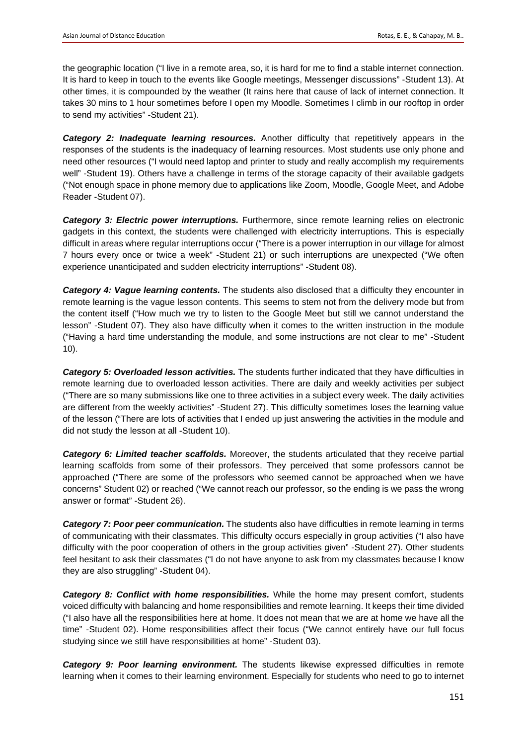the geographic location ("I live in a remote area, so, it is hard for me to find a stable internet connection. It is hard to keep in touch to the events like Google meetings, Messenger discussions" -Student 13). At other times, it is compounded by the weather (It rains here that cause of lack of internet connection. It takes 30 mins to 1 hour sometimes before I open my Moodle. Sometimes I climb in our rooftop in order to send my activities" -Student 21).

**Category 2: Inadequate learning resources.** Another difficulty that repetitively appears in the responses of the students is the inadequacy of learning resources. Most students use only phone and need other resources ("I would need laptop and printer to study and really accomplish my requirements well" -Student 19). Others have a challenge in terms of the storage capacity of their available gadgets ("Not enough space in phone memory due to applications like Zoom, Moodle, Google Meet, and Adobe Reader -Student 07).

**Category 3: Electric power interruptions.** Furthermore, since remote learning relies on electronic gadgets in this context, the students were challenged with electricity interruptions. This is especially difficult in areas where regular interruptions occur ("There is a power interruption in our village for almost 7 hours every once or twice a week" -Student 21) or such interruptions are unexpected ("We often experience unanticipated and sudden electricity interruptions" -Student 08).

*Category 4: Vague learning contents.* The students also disclosed that a difficulty they encounter in remote learning is the vague lesson contents. This seems to stem not from the delivery mode but from the content itself ("How much we try to listen to the Google Meet but still we cannot understand the lesson" -Student 07). They also have difficulty when it comes to the written instruction in the module ("Having a hard time understanding the module, and some instructions are not clear to me" -Student 10).

*Category 5: Overloaded lesson activities.* The students further indicated that they have difficulties in remote learning due to overloaded lesson activities. There are daily and weekly activities per subject ("There are so many submissions like one to three activities in a subject every week. The daily activities are different from the weekly activities" -Student 27). This difficulty sometimes loses the learning value of the lesson ("There are lots of activities that I ended up just answering the activities in the module and did not study the lesson at all -Student 10).

*Category 6: Limited teacher scaffolds.* Moreover, the students articulated that they receive partial learning scaffolds from some of their professors. They perceived that some professors cannot be approached ("There are some of the professors who seemed cannot be approached when we have concerns" Student 02) or reached ("We cannot reach our professor, so the ending is we pass the wrong answer or format" -Student 26).

*Category 7: Poor peer communication.* The students also have difficulties in remote learning in terms of communicating with their classmates. This difficulty occurs especially in group activities ("I also have difficulty with the poor cooperation of others in the group activities given" -Student 27). Other students feel hesitant to ask their classmates ("I do not have anyone to ask from my classmates because I know they are also struggling" -Student 04).

**Category 8: Conflict with home responsibilities.** While the home may present comfort, students voiced difficulty with balancing and home responsibilities and remote learning. It keeps their time divided ("I also have all the responsibilities here at home. It does not mean that we are at home we have all the time" -Student 02). Home responsibilities affect their focus ("We cannot entirely have our full focus studying since we still have responsibilities at home" -Student 03).

*Category 9: Poor learning environment.* The students likewise expressed difficulties in remote learning when it comes to their learning environment. Especially for students who need to go to internet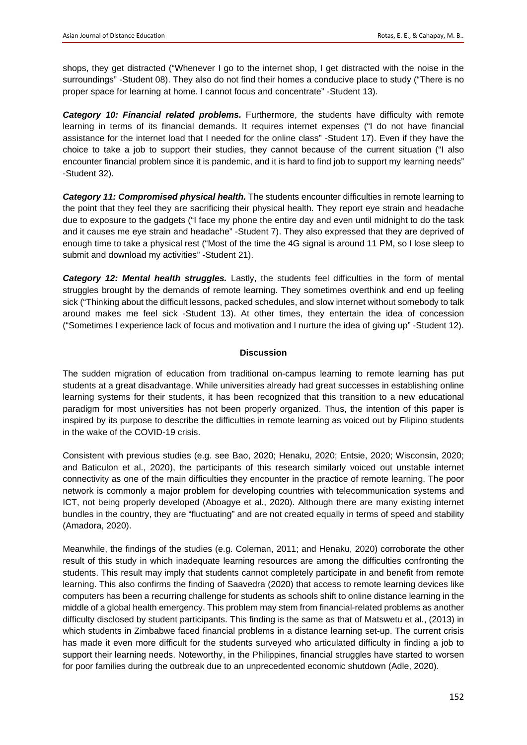shops, they get distracted ("Whenever I go to the internet shop, I get distracted with the noise in the surroundings" -Student 08). They also do not find their homes a conducive place to study ("There is no proper space for learning at home. I cannot focus and concentrate" -Student 13).

*Category 10: Financial related problems.* Furthermore, the students have difficulty with remote learning in terms of its financial demands. It requires internet expenses ("I do not have financial assistance for the internet load that I needed for the online class" -Student 17). Even if they have the choice to take a job to support their studies, they cannot because of the current situation ("I also encounter financial problem since it is pandemic, and it is hard to find job to support my learning needs" -Student 32).

*Category 11: Compromised physical health.* The students encounter difficulties in remote learning to the point that they feel they are sacrificing their physical health. They report eye strain and headache due to exposure to the gadgets ("I face my phone the entire day and even until midnight to do the task and it causes me eye strain and headache" -Student 7). They also expressed that they are deprived of enough time to take a physical rest ("Most of the time the 4G signal is around 11 PM, so I lose sleep to submit and download my activities" -Student 21).

*Category 12: Mental health struggles.* Lastly, the students feel difficulties in the form of mental struggles brought by the demands of remote learning. They sometimes overthink and end up feeling sick ("Thinking about the difficult lessons, packed schedules, and slow internet without somebody to talk around makes me feel sick -Student 13). At other times, they entertain the idea of concession ("Sometimes I experience lack of focus and motivation and I nurture the idea of giving up" -Student 12).

## **Discussion**

The sudden migration of education from traditional on-campus learning to remote learning has put students at a great disadvantage. While universities already had great successes in establishing online learning systems for their students, it has been recognized that this transition to a new educational paradigm for most universities has not been properly organized. Thus, the intention of this paper is inspired by its purpose to describe the difficulties in remote learning as voiced out by Filipino students in the wake of the COVID-19 crisis.

Consistent with previous studies (e.g. see Bao, 2020; Henaku, 2020; Entsie, 2020; Wisconsin, 2020; and Baticulon et al., 2020), the participants of this research similarly voiced out unstable internet connectivity as one of the main difficulties they encounter in the practice of remote learning. The poor network is commonly a major problem for developing countries with telecommunication systems and ICT, not being properly developed (Aboagye et al., 2020). Although there are many existing internet bundles in the country, they are "fluctuating" and are not created equally in terms of speed and stability (Amadora, 2020).

Meanwhile, the findings of the studies (e.g. Coleman, 2011; and Henaku, 2020) corroborate the other result of this study in which inadequate learning resources are among the difficulties confronting the students. This result may imply that students cannot completely participate in and benefit from remote learning. This also confirms the finding of Saavedra (2020) that access to remote learning devices like computers has been a recurring challenge for students as schools shift to online distance learning in the middle of a global health emergency. This problem may stem from financial-related problems as another difficulty disclosed by student participants. This finding is the same as that of Matswetu et al., (2013) in which students in Zimbabwe faced financial problems in a distance learning set-up. The current crisis has made it even more difficult for the students surveyed who articulated difficulty in finding a job to support their learning needs. Noteworthy, in the Philippines, financial struggles have started to worsen for poor families during the outbreak due to an unprecedented economic shutdown (Adle, 2020).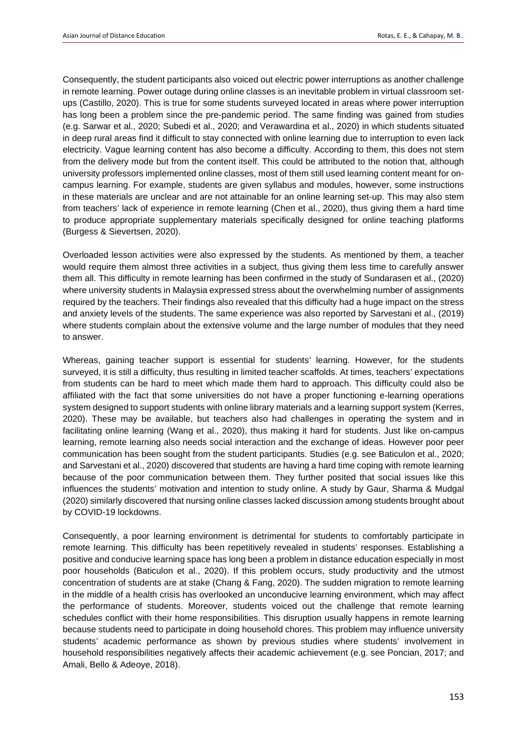Consequently, the student participants also voiced out electric power interruptions as another challenge in remote learning. Power outage during online classes is an inevitable problem in virtual classroom setups (Castillo, 2020). This is true for some students surveyed located in areas where power interruption has long been a problem since the pre-pandemic period. The same finding was gained from studies (e.g. Sarwar et al., 2020; Subedi et al., 2020; and Verawardina et al., 2020) in which students situated in deep rural areas find it difficult to stay connected with online learning due to interruption to even lack electricity. Vague learning content has also become a difficulty. According to them, this does not stem from the delivery mode but from the content itself. This could be attributed to the notion that, although university professors implemented online classes, most of them still used learning content meant for oncampus learning. For example, students are given syllabus and modules, however, some instructions in these materials are unclear and are not attainable for an online learning set-up. This may also stem from teachers' lack of experience in remote learning (Chen et al., 2020), thus giving them a hard time to produce appropriate supplementary materials specifically designed for online teaching platforms (Burgess & Sievertsen, 2020).

Overloaded lesson activities were also expressed by the students. As mentioned by them, a teacher would require them almost three activities in a subject, thus giving them less time to carefully answer them all. This difficulty in remote learning has been confirmed in the study of Sundarasen et al., (2020) where university students in Malaysia expressed stress about the overwhelming number of assignments required by the teachers. Their findings also revealed that this difficulty had a huge impact on the stress and anxiety levels of the students. The same experience was also reported by Sarvestani et al., (2019) where students complain about the extensive volume and the large number of modules that they need to answer.

Whereas, gaining teacher support is essential for students' learning. However, for the students surveyed, it is still a difficulty, thus resulting in limited teacher scaffolds. At times, teachers' expectations from students can be hard to meet which made them hard to approach. This difficulty could also be affiliated with the fact that some universities do not have a proper functioning e-learning operations system designed to support students with online library materials and a learning support system (Kerres, 2020). These may be available, but teachers also had challenges in operating the system and in facilitating online learning (Wang et al., 2020), thus making it hard for students. Just like on-campus learning, remote learning also needs social interaction and the exchange of ideas. However poor peer communication has been sought from the student participants. Studies (e.g. see Baticulon et al., 2020; and Sarvestani et al., 2020) discovered that students are having a hard time coping with remote learning because of the poor communication between them. They further posited that social issues like this influences the students' motivation and intention to study online. A study by Gaur, Sharma & Mudgal (2020) similarly discovered that nursing online classes lacked discussion among students brought about by COVID-19 lockdowns.

Consequently, a poor learning environment is detrimental for students to comfortably participate in remote learning. This difficulty has been repetitively revealed in students' responses. Establishing a positive and conducive learning space has long been a problem in distance education especially in most poor households (Baticulon et al., 2020). If this problem occurs, study productivity and the utmost concentration of students are at stake (Chang & Fang, 2020). The sudden migration to remote learning in the middle of a health crisis has overlooked an unconducive learning environment, which may affect the performance of students. Moreover, students voiced out the challenge that remote learning schedules conflict with their home responsibilities. This disruption usually happens in remote learning because students need to participate in doing household chores. This problem may influence university students' academic performance as shown by previous studies where students' involvement in household responsibilities negatively affects their academic achievement (e.g. see Poncian, 2017; and Amali, Bello & Adeoye, 2018).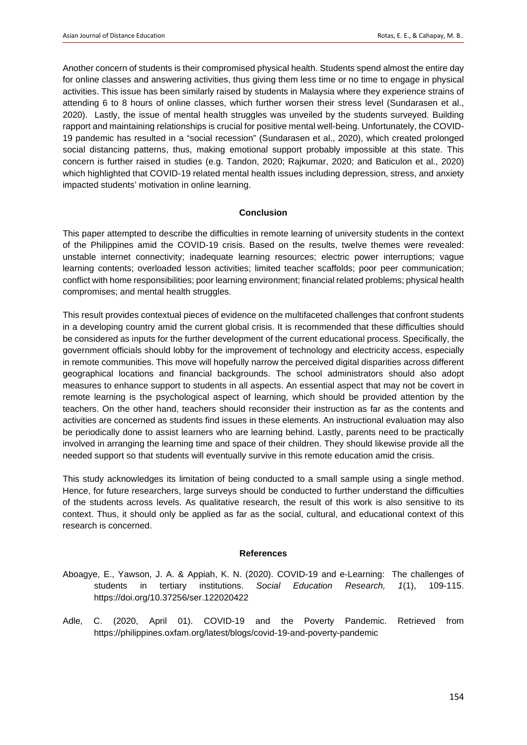Another concern of students is their compromised physical health. Students spend almost the entire day for online classes and answering activities, thus giving them less time or no time to engage in physical activities. This issue has been similarly raised by students in Malaysia where they experience strains of attending 6 to 8 hours of online classes, which further worsen their stress level (Sundarasen et al., 2020). Lastly, the issue of mental health struggles was unveiled by the students surveyed. Building rapport and maintaining relationships is crucial for positive mental well-being. Unfortunately, the COVID-19 pandemic has resulted in a "social recession" (Sundarasen et al., 2020), which created prolonged social distancing patterns, thus, making emotional support probably impossible at this state. This concern is further raised in studies (e.g. Tandon, 2020; Rajkumar, 2020; and Baticulon et al., 2020) which highlighted that COVID-19 related mental health issues including depression, stress, and anxiety impacted students' motivation in online learning.

#### **Conclusion**

This paper attempted to describe the difficulties in remote learning of university students in the context of the Philippines amid the COVID-19 crisis. Based on the results, twelve themes were revealed: unstable internet connectivity; inadequate learning resources; electric power interruptions; vague learning contents; overloaded lesson activities; limited teacher scaffolds; poor peer communication; conflict with home responsibilities; poor learning environment; financial related problems; physical health compromises; and mental health struggles.

This result provides contextual pieces of evidence on the multifaceted challenges that confront students in a developing country amid the current global crisis. It is recommended that these difficulties should be considered as inputs for the further development of the current educational process. Specifically, the government officials should lobby for the improvement of technology and electricity access, especially in remote communities. This move will hopefully narrow the perceived digital disparities across different geographical locations and financial backgrounds. The school administrators should also adopt measures to enhance support to students in all aspects. An essential aspect that may not be covert in remote learning is the psychological aspect of learning, which should be provided attention by the teachers. On the other hand, teachers should reconsider their instruction as far as the contents and activities are concerned as students find issues in these elements. An instructional evaluation may also be periodically done to assist learners who are learning behind. Lastly, parents need to be practically involved in arranging the learning time and space of their children. They should likewise provide all the needed support so that students will eventually survive in this remote education amid the crisis.

This study acknowledges its limitation of being conducted to a small sample using a single method. Hence, for future researchers, large surveys should be conducted to further understand the difficulties of the students across levels. As qualitative research, the result of this work is also sensitive to its context. Thus, it should only be applied as far as the social, cultural, and educational context of this research is concerned.

#### **References**

- Aboagye, E., Yawson, J. A. & Appiah, K. N. (2020). COVID-19 and e-Learning: The challenges of students in tertiary institutions. *Social Education Research, 1*(1), 109-115. https://doi.org/10.37256/ser.122020422
- Adle, C. (2020, April 01). COVID-19 and the Poverty Pandemic. Retrieved from https://philippines.oxfam.org/latest/blogs/covid-19-and-poverty-pandemic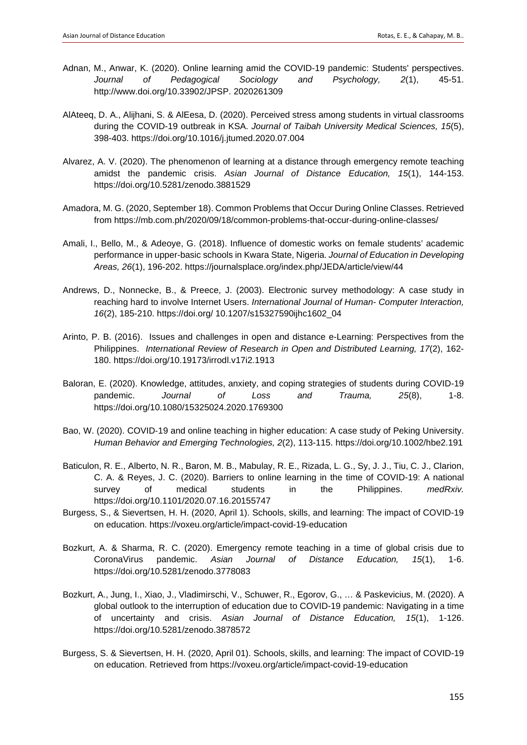- Adnan, M., Anwar, K. (2020). Online learning amid the COVID-19 pandemic: Students' perspectives. *Journal of Pedagogical Sociology and Psychology, 2*(1), 45-51. http://www.doi.org/10.33902/JPSP. 2020261309
- AlAteeq, D. A., Alijhani, S. & AlEesa, D. (2020). Perceived stress among students in virtual classrooms during the COVID-19 outbreak in KSA. *Journal of Taibah University Medical Sciences, 15*(5), 398-403. https://doi.org/10.1016/j.jtumed.2020.07.004
- Alvarez, A. V. (2020). The phenomenon of learning at a distance through emergency remote teaching amidst the pandemic crisis. *Asian Journal of Distance Education, 15*(1), 144-153. https://doi.org/10.5281/zenodo.3881529
- Amadora, M. G. (2020, September 18). Common Problems that Occur During Online Classes. Retrieved from https://mb.com.ph/2020/09/18/common-problems-that-occur-during-online-classes/
- Amali, I., Bello, M., & Adeoye, G. (2018). Influence of domestic works on female students' academic performance in upper-basic schools in Kwara State, Nigeria. *Journal of Education in Developing Areas, 26*(1), 196-202. https://journalsplace.org/index.php/JEDA/article/view/44
- Andrews, D., Nonnecke, B., & Preece, J. (2003). Electronic survey methodology: A case study in reaching hard to involve Internet Users. *International Journal of Human- Computer Interaction, 16*(2), 185-210. https://doi.org/ 10.1207/s15327590ijhc1602\_04
- Arinto, P. B. (2016). Issues and challenges in open and distance e-Learning: Perspectives from the Philippines. *International Review of Research in Open and Distributed Learning, 17*(2), 162- 180. https://doi.org/10.19173/irrodl.v17i2.1913
- Baloran, E. (2020). Knowledge, attitudes, anxiety, and coping strategies of students during COVID-19 pandemic. *Journal of Loss and Trauma, 25*(8), 1-8. https://doi.org/10.1080/15325024.2020.1769300
- Bao, W. (2020). COVID-19 and online teaching in higher education: A case study of Peking University. *Human Behavior and Emerging Technologies, 2*(2), 113-115. https://doi.org/10.1002/hbe2.191
- Baticulon, R. E., Alberto, N. R., Baron, M. B., Mabulay, R. E., Rizada, L. G., Sy, J. J., Tiu, C. J., Clarion, C. A. & Reyes, J. C. (2020). Barriers to online learning in the time of COVID-19: A national survey of medical students in the Philippines. *medRxiv.* https://doi.org/10.1101/2020.07.16.20155747
- Burgess, S., & Sievertsen, H. H. (2020, April 1). Schools, skills, and learning: The impact of COVID-19 on education. https://voxeu.org/article/impact-covid-19-education
- Bozkurt, A. & Sharma, R. C. (2020). Emergency remote teaching in a time of global crisis due to CoronaVirus pandemic. *Asian Journal of Distance Education, 15*(1), 1-6. https://doi.org/10.5281/zenodo.3778083
- Bozkurt, A., Jung, I., Xiao, J., Vladimirschi, V., Schuwer, R., Egorov, G., … & Paskevicius, M. (2020). A global outlook to the interruption of education due to COVID-19 pandemic: Navigating in a time of uncertainty and crisis. *Asian Journal of Distance Education, 15*(1), 1-126. https://doi.org/10.5281/zenodo.3878572
- Burgess, S. & Sievertsen, H. H. (2020, April 01). Schools, skills, and learning: The impact of COVID-19 on education. Retrieved from https://voxeu.org/article/impact-covid-19-education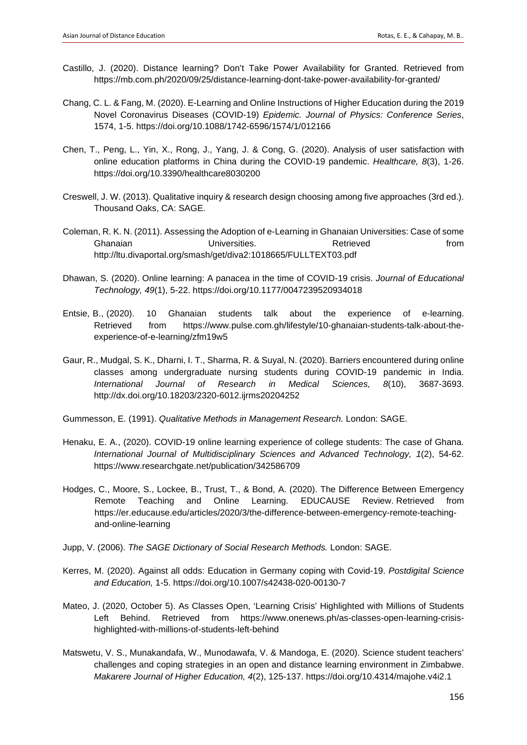- Castillo, J. (2020). Distance learning? Don't Take Power Availability for Granted. Retrieved from https://mb.com.ph/2020/09/25/distance-learning-dont-take-power-availability-for-granted/
- Chang, C. L. & Fang, M. (2020). E-Learning and Online Instructions of Higher Education during the 2019 Novel Coronavirus Diseases (COVID-19) *Epidemic. Journal of Physics: Conference Series*, 1574, 1-5. https://doi.org/10.1088/1742-6596/1574/1/012166
- Chen, T., Peng, L., Yin, X., Rong, J., Yang, J. & Cong, G. (2020). Analysis of user satisfaction with online education platforms in China during the COVID-19 pandemic. *Healthcare, 8*(3), 1-26. https://doi.org/10.3390/healthcare8030200
- Creswell, J. W. (2013). Qualitative inquiry & research design choosing among five approaches (3rd ed.). Thousand Oaks, CA: SAGE.
- Coleman, R. K. N. (2011). Assessing the Adoption of e-Learning in Ghanaian Universities: Case of some Ghanaian **Chanaian** Universities. **Retrieved** Retrieved from http://ltu.divaportal.org/smash/get/diva2:1018665/FULLTEXT03.pdf
- Dhawan, S. (2020). Online learning: A panacea in the time of COVID-19 crisis. *Journal of Educational Technology, 49*(1), 5-22. https://doi.org/10.1177/0047239520934018
- Entsie, B., (2020). 10 Ghanaian students talk about the experience of e-learning. Retrieved from https://www.pulse.com.gh/lifestyle/10-ghanaian-students-talk-about-theexperience-of-e-learning/zfm19w5
- Gaur, R., Mudgal, S. K., Dharni, I. T., Sharma, R. & Suyal, N. (2020). Barriers encountered during online classes among undergraduate nursing students during COVID-19 pandemic in India. *International Journal of Research in Medical Sciences, 8*(10), 3687-3693. http://dx.doi.org/10.18203/2320-6012.ijrms20204252
- Gummesson, E. (1991). *Qualitative Methods in Management Research.* London: SAGE.
- Henaku, E. A., (2020). COVID-19 online learning experience of college students: The case of Ghana. *International Journal of Multidisciplinary Sciences and Advanced Technology, 1*(2), 54-62. https://www.researchgate.net/publication/342586709
- Hodges, C., Moore, S., Lockee, B., Trust, T., & Bond, A. (2020). The Difference Between Emergency Remote Teaching and Online Learning. EDUCAUSE Review. Retrieved from [https://er.educause.edu/articles/2020/3/the-difference-between-emergency-remote-teaching](https://er.educause.edu/articles/2020/3/the-difference-between-emergency-remote-teaching-and-online-learning)[and-online-learning](https://er.educause.edu/articles/2020/3/the-difference-between-emergency-remote-teaching-and-online-learning)
- Jupp, V. (2006). *The SAGE Dictionary of Social Research Methods.* London: SAGE.
- Kerres, M. (2020). Against all odds: Education in Germany coping with Covid-19. *Postdigital Science and Education,* 1-5. https://doi.org/10.1007/s42438-020-00130-7
- Mateo, J. (2020, October 5). As Classes Open, 'Learning Crisis' Highlighted with Millions of Students Left Behind. Retrieved from https://www.onenews.ph/as-classes-open-learning-crisishighlighted-with-millions-of-students-left-behind
- Matswetu, V. S., Munakandafa, W., Munodawafa, V. & Mandoga, E. (2020). Science student teachers' challenges and coping strategies in an open and distance learning environment in Zimbabwe. *Makarere Journal of Higher Education, 4*(2), 125-137. https://doi.org/10.4314/majohe.v4i2.1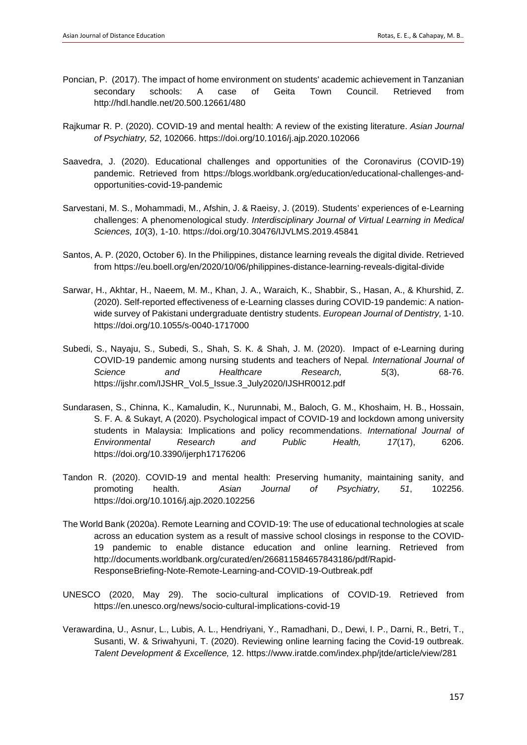- Poncian, P. (2017). The impact of home environment on students' academic achievement in Tanzanian secondary schools: A case of Geita Town Council. Retrieved from http://hdl.handle.net/20.500.12661/480
- Rajkumar R. P. (2020). COVID-19 and mental health: A review of the existing literature. *Asian Journal of Psychiatry, 52*, 102066. https://doi.org/10.1016/j.ajp.2020.102066
- Saavedra, J. (2020). Educational challenges and opportunities of the Coronavirus (COVID-19) pandemic. Retrieved from https://blogs.worldbank.org/education/educational-challenges-andopportunities-covid-19-pandemic
- Sarvestani, M. S., Mohammadi, M., Afshin, J. & Raeisy, J. (2019). Students' experiences of e-Learning challenges: A phenomenological study. *Interdisciplinary Journal of Virtual Learning in Medical Sciences, 10*(3), 1-10. https://doi.org/10.30476/IJVLMS.2019.45841
- Santos, A. P. (2020, October 6). In the Philippines, distance learning reveals the digital divide. Retrieved from https://eu.boell.org/en/2020/10/06/philippines-distance-learning-reveals-digital-divide
- Sarwar, H., Akhtar, H., Naeem, M. M., Khan, J. A., Waraich, K., Shabbir, S., Hasan, A., & Khurshid, Z. (2020). Self-reported effectiveness of e-Learning classes during COVID-19 pandemic: A nationwide survey of Pakistani undergraduate dentistry students. *European Journal of Dentistry,* 1-10. https://doi.org/10.1055/s-0040-1717000
- Subedi, S., Nayaju, S., Subedi, S., Shah, S. K. & Shah, J. M. (2020). Impact of e-Learning during COVID-19 pandemic among nursing students and teachers of Nepal*. International Journal of Science and Healthcare Research, 5*(3), 68-76. https://ijshr.com/IJSHR\_Vol.5\_Issue.3\_July2020/IJSHR0012.pdf
- Sundarasen, S., Chinna, K., Kamaludin, K., Nurunnabi, M., Baloch, G. M., Khoshaim, H. B., Hossain, S. F. A. & Sukayt, A (2020). Psychological impact of COVID-19 and lockdown among university students in Malaysia: Implications and policy recommendations. *International Journal of Environmental Research and Public Health, 17*(17), 6206. https://doi.org/10.3390/ijerph17176206
- Tandon R. (2020). COVID-19 and mental health: Preserving humanity, maintaining sanity, and promoting health. *Asian Journal of Psychiatry, 51*, 102256. https://doi.org/10.1016/j.ajp.2020.102256
- The World Bank (2020a). Remote Learning and COVID-19: The use of educational technologies at scale across an education system as a result of massive school closings in response to the COVID-19 pandemic to enable distance education and online learning. Retrieved from http://documents.worldbank.org/curated/en/266811584657843186/pdf/Rapid-ResponseBriefing-Note-Remote-Learning-and-COVID-19-Outbreak.pdf
- UNESCO (2020, May 29). The socio-cultural implications of COVID-19. Retrieved from https://en.unesco.org/news/socio-cultural-implications-covid-19
- Verawardina, U., Asnur, L., Lubis, A. L., Hendriyani, Y., Ramadhani, D., Dewi, I. P., Darni, R., Betri, T., Susanti, W. & Sriwahyuni, T. (2020). Reviewing online learning facing the Covid-19 outbreak. *Talent Development & Excellence,* 12. https://www.iratde.com/index.php/jtde/article/view/281